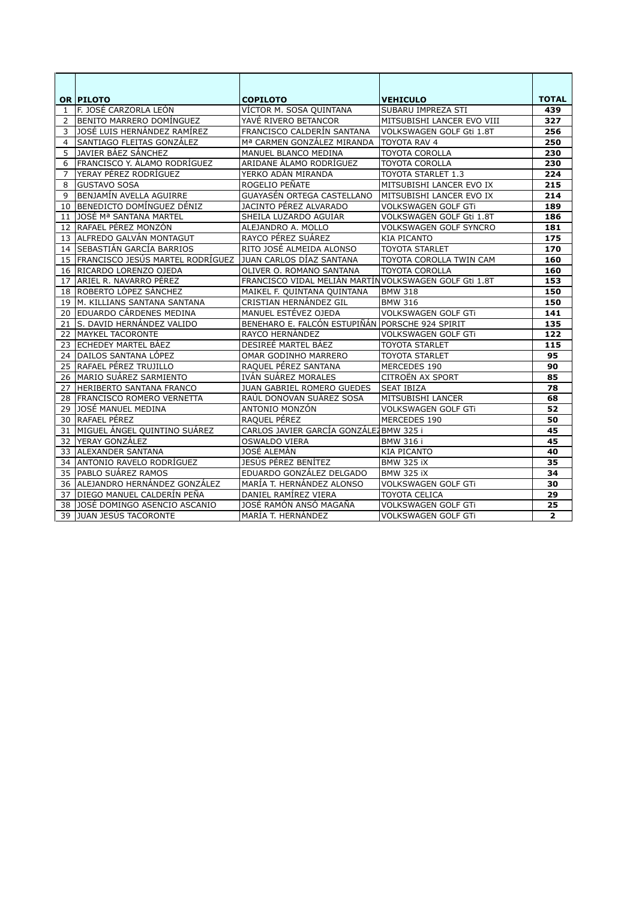|    | OR PILOTO                        | <b>COPILOTO</b>                                        | <b>VEHICULO</b>               | <b>TOTAL</b>   |
|----|----------------------------------|--------------------------------------------------------|-------------------------------|----------------|
| 1  | F. JOSÉ CARZORLA LEÓN            | VÍCTOR M. SOSA QUINTANA                                | SUBARU IMPREZA STI            | 439            |
| 2  | BENITO MARRERO DOMÍNGUEZ         | YAVÉ RIVERO BETANCOR                                   | MITSUBISHI LANCER EVO VIII    | 327            |
| 3  | JOSÉ LUIS HERNÁNDEZ RAMÍREZ      | FRANCISCO CALDERÍN SANTANA                             | VOLKSWAGEN GOLF Gti 1.8T      | 256            |
| 4  | SANTIAGO FLEITAS GONZÁLEZ        | Mª CARMEN GONZÁLEZ MIRANDA                             | TOYOTA RAV 4                  | 250            |
| 5  | JAVIER BÁEZ SÁNCHEZ              | MANUEL BLANCO MEDINA                                   | TOYOTA COROLLA                | 230            |
| 6  | FRANCISCO Y. ÁLAMO RODRÍGUEZ     | ARIDANE ÁLAMO RODRÍGUEZ                                | <b>TOYOTA COROLLA</b>         | 230            |
| 7  | YERAY PÉREZ RODRÍGUEZ            | YERKO ADÁN MIRANDA                                     | <b>TOYOTA STARLET 1.3</b>     | 224            |
| 8  | <b>GUSTAVO SOSA</b>              | ROGELIO PEÑATE                                         | MITSUBISHI LANCER EVO IX      | 215            |
| 9  | <b>BENJAMÍN AVELLA AGUIRRE</b>   | GUAYASÉN ORTEGA CASTELLANO                             | MITSUBISHI LANCER EVO IX      | 214            |
| 10 | BENEDICTO DOMÍNGUEZ DÉNIZ        | <b>JACINTO PÉREZ ALVARADO</b>                          | VOLKSWAGEN GOLF GTI           | 189            |
| 11 | JOSÉ Mª SANTANA MARTEL           | SHEILA LUZARDO AGUIAR                                  | VOLKSWAGEN GOLF Gti 1.8T      | 186            |
| 12 | RAFAEL PÉREZ MONZÓN              | ALEJANDRO A. MOLLO                                     | <b>VOLKSWAGEN GOLF SYNCRO</b> | 181            |
| 13 | ALFREDO GALVÁN MONTAGUT          | RAYCO PÉREZ SUÁREZ                                     | <b>KIA PICANTO</b>            | 175            |
| 14 | <b>SEBASTIÁN GARCÍA BARRIOS</b>  | RITO JOSÉ ALMEIDA ALONSO                               | <b>TOYOTA STARLET</b>         | 170            |
| 15 | FRANCISCO JESÚS MARTEL RODRÍGUEZ | JUAN CARLOS DÍAZ SANTANA                               | TOYOTA COROLLA TWIN CAM       | 160            |
| 16 | RICARDO LORENZO OJEDA            | OLIVER O. ROMANO SANTANA                               | <b>TOYOTA COROLLA</b>         | 160            |
| 17 | ARIEL R. NAVARRO PÉREZ           | FRANCISCO VIDAL MELIÁN MARTÍN VOLKSWAGEN GOLF Gti 1.8T |                               | 153            |
| 18 | ROBERTO LÓPEZ SÁNCHEZ            | MAIKEL F. QUINTANA QUINTANA                            | <b>BMW 318</b>                | 150            |
| 19 | M. KILLIANS SANTANA SANTANA      | CRISTIAN HERNÁNDEZ GIL                                 | <b>BMW 316</b>                | 150            |
| 20 | <b>EDUARDO CÁRDENES MEDINA</b>   | MANUEL ESTÉVEZ OJEDA                                   | <b>VOLKSWAGEN GOLF GTi</b>    | 141            |
| 21 | S. DAVID HERNÁNDEZ VALIDO        | BENEHARO E. FALCÓN ESTUPIÑÁN PORSCHE 924 SPIRIT        |                               | 135            |
| 22 | <b>MAYKEL TACORONTE</b>          | RAYCO HERNÁNDEZ                                        | <b>VOLKSWAGEN GOLF GTi</b>    | 122            |
| 23 | <b>ECHEDEY MARTEL BÁEZ</b>       | DESIREÉ MARTEL BÁEZ                                    | <b>TOYOTA STARLET</b>         | 115            |
| 24 | DAILOS SANTANA LÓPEZ             | OMAR GODINHO MARRERO                                   | <b>TOYOTA STARLET</b>         | 95             |
| 25 | RAFAEL PÉREZ TRUJILLO            | RAQUEL PÉREZ SANTANA                                   | MERCEDES 190                  | 90             |
| 26 | MARIO SUÁREZ SARMIENTO           | IVÁN SUÁREZ MORALES                                    | CITROËN AX SPORT              | 85             |
| 27 | HERIBERTO SANTANA FRANCO         | <b>JUAN GABRIEL ROMERO GUEDES</b>                      | <b>SEAT IBIZA</b>             | 78             |
| 28 | <b>FRANCISCO ROMERO VERNETTA</b> | RAÚL DONOVAN SUÁREZ SOSA                               | MITSUBISHI LANCER             | 68             |
| 29 | JOSÉ MANUEL MEDINA               | ANTONIO MONZÓN                                         | <b>VOLKSWAGEN GOLF GTi</b>    | 52             |
| 30 | RAFAEL PEREZ                     | RAQUEL PÉREZ                                           | MERCEDES 190                  | 50             |
| 31 | MIGUEL ÁNGEL QUINTINO SUÁREZ     | CARLOS JAVIER GARCÍA GONZÁLEZ BMW 325 i                |                               | 45             |
| 32 | YERAY GONZÁLEZ                   | <b>OSWALDO VIERA</b>                                   | <b>BMW 316 i</b>              | 45             |
| 33 | <b>ALEXANDER SANTANA</b>         | JOSÉ ALEMÁN                                            | <b>KIA PICANTO</b>            | 40             |
| 34 | ANTONIO RAVELO RODRÍGUEZ         | JESÚS PÉREZ BENÍTEZ                                    | <b>BMW 325 iX</b>             | 35             |
| 35 | PABLO SUÁREZ RAMOS               | EDUARDO GONZÁLEZ DELGADO                               | <b>BMW 325 iX</b>             | 34             |
| 36 | ALEJANDRO HERNÁNDEZ GONZÁLEZ     | MARÍA T. HERNÁNDEZ ALONSO                              | VOLKSWAGEN GOLF GTI           | 30             |
| 37 | DIEGO MANUEL CALDERÍN PEÑA       | DANIEL RAMÍREZ VIERA                                   | TOYOTA CELICA                 | 29             |
| 38 | JOSÉ DOMINGO ASENCIO ASCANIO     | JOSÉ RAMÓN ANSÓ MAGAÑA                                 | VOLKSWAGEN GOLF GTI           | 25             |
|    | 39 JUAN JESÚS TACORONTE          | MARÍA T. HERNÁNDEZ                                     | <b>VOLKSWAGEN GOLF GTi</b>    | $\overline{2}$ |